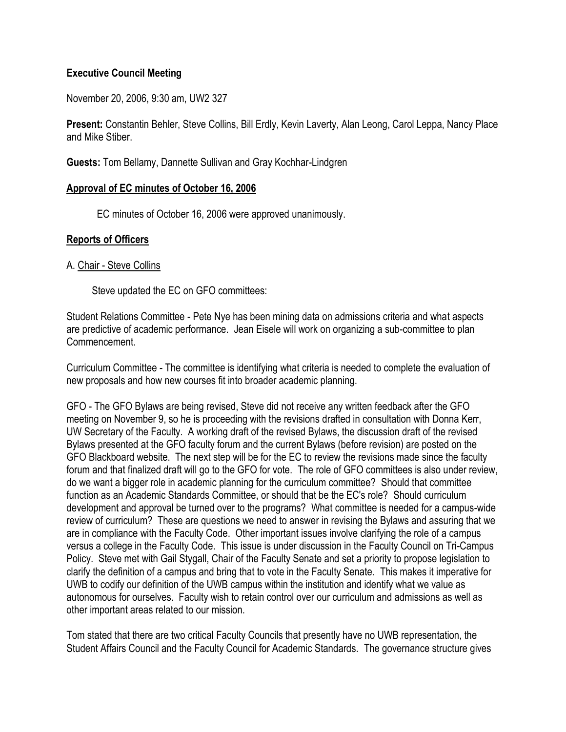# **Executive Council Meeting**

November 20, 2006, 9:30 am, UW2 327

**Present:** Constantin Behler, Steve Collins, Bill Erdly, Kevin Laverty, Alan Leong, Carol Leppa, Nancy Place and Mike Stiber.

**Guests:** Tom Bellamy, Dannette Sullivan and Gray Kochhar-Lindgren

### **Approval of EC minutes of October 16, 2006**

EC minutes of October 16, 2006 were approved unanimously.

## **Reports of Officers**

### A. Chair - Steve Collins

Steve updated the EC on GFO committees:

Student Relations Committee - Pete Nye has been mining data on admissions criteria and what aspects are predictive of academic performance. Jean Eisele will work on organizing a sub-committee to plan Commencement.

Curriculum Committee - The committee is identifying what criteria is needed to complete the evaluation of new proposals and how new courses fit into broader academic planning.

GFO - The GFO Bylaws are being revised, Steve did not receive any written feedback after the GFO meeting on November 9, so he is proceeding with the revisions drafted in consultation with Donna Kerr, UW Secretary of the Faculty. A working draft of the revised Bylaws, the discussion draft of the revised Bylaws presented at the GFO faculty forum and the current Bylaws (before revision) are posted on the GFO Blackboard website. The next step will be for the EC to review the revisions made since the faculty forum and that finalized draft will go to the GFO for vote. The role of GFO committees is also under review, do we want a bigger role in academic planning for the curriculum committee? Should that committee function as an Academic Standards Committee, or should that be the EC's role? Should curriculum development and approval be turned over to the programs? What committee is needed for a campus-wide review of curriculum? These are questions we need to answer in revising the Bylaws and assuring that we are in compliance with the Faculty Code. Other important issues involve clarifying the role of a campus versus a college in the Faculty Code. This issue is under discussion in the Faculty Council on Tri-Campus Policy. Steve met with Gail Stygall, Chair of the Faculty Senate and set a priority to propose legislation to clarify the definition of a campus and bring that to vote in the Faculty Senate. This makes it imperative for UWB to codify our definition of the UWB campus within the institution and identify what we value as autonomous for ourselves. Faculty wish to retain control over our curriculum and admissions as well as other important areas related to our mission.

Tom stated that there are two critical Faculty Councils that presently have no UWB representation, the Student Affairs Council and the Faculty Council for Academic Standards. The governance structure gives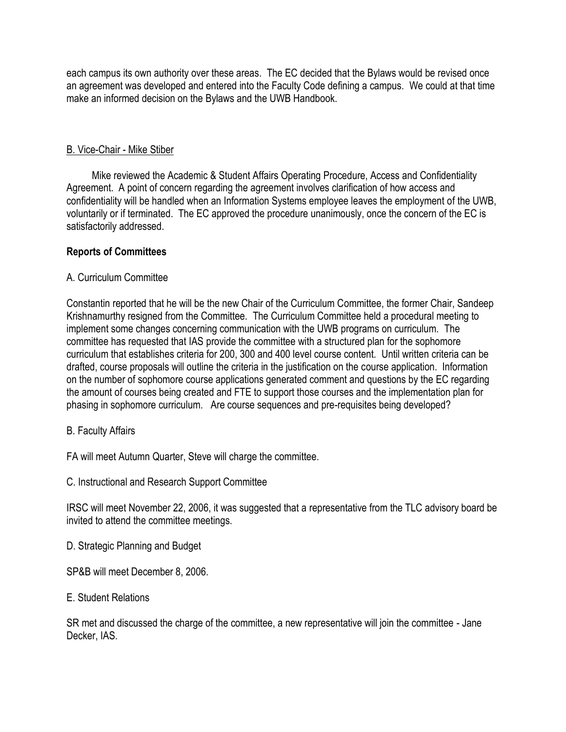each campus its own authority over these areas. The EC decided that the Bylaws would be revised once an agreement was developed and entered into the Faculty Code defining a campus. We could at that time make an informed decision on the Bylaws and the UWB Handbook.

## B. Vice-Chair - Mike Stiber

 Mike reviewed the Academic & Student Affairs Operating Procedure, Access and Confidentiality Agreement. A point of concern regarding the agreement involves clarification of how access and confidentiality will be handled when an Information Systems employee leaves the employment of the UWB, voluntarily or if terminated. The EC approved the procedure unanimously, once the concern of the EC is satisfactorily addressed.

## **Reports of Committees**

## A. Curriculum Committee

Constantin reported that he will be the new Chair of the Curriculum Committee, the former Chair, Sandeep Krishnamurthy resigned from the Committee. The Curriculum Committee held a procedural meeting to implement some changes concerning communication with the UWB programs on curriculum. The committee has requested that IAS provide the committee with a structured plan for the sophomore curriculum that establishes criteria for 200, 300 and 400 level course content. Until written criteria can be drafted, course proposals will outline the criteria in the justification on the course application. Information on the number of sophomore course applications generated comment and questions by the EC regarding the amount of courses being created and FTE to support those courses and the implementation plan for phasing in sophomore curriculum. Are course sequences and pre-requisites being developed?

## B. Faculty Affairs

FA will meet Autumn Quarter, Steve will charge the committee.

C. Instructional and Research Support Committee

IRSC will meet November 22, 2006, it was suggested that a representative from the TLC advisory board be invited to attend the committee meetings.

D. Strategic Planning and Budget

SP&B will meet December 8, 2006.

## E. Student Relations

SR met and discussed the charge of the committee, a new representative will join the committee - Jane Decker, IAS.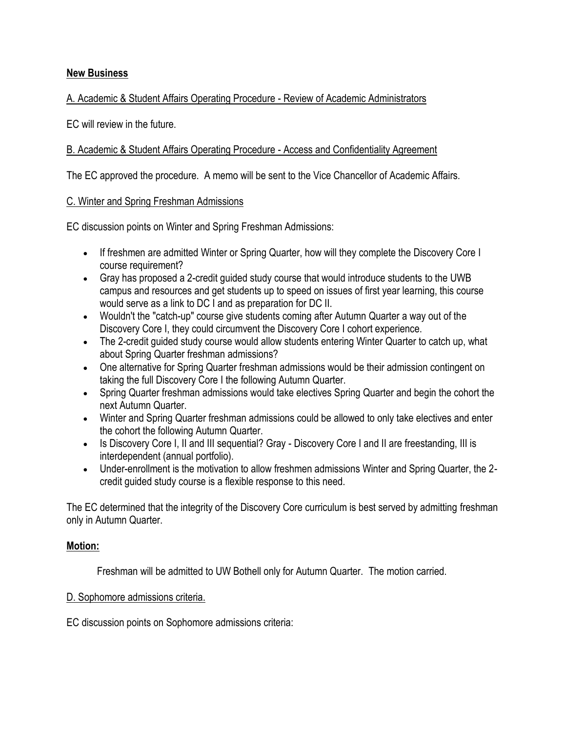# **New Business**

# A. Academic & Student Affairs Operating Procedure - Review of Academic Administrators

EC will review in the future.

# B. Academic & Student Affairs Operating Procedure - Access and Confidentiality Agreement

The EC approved the procedure. A memo will be sent to the Vice Chancellor of Academic Affairs.

## C. Winter and Spring Freshman Admissions

EC discussion points on Winter and Spring Freshman Admissions:

- If freshmen are admitted Winter or Spring Quarter, how will they complete the Discovery Core I course requirement?
- Gray has proposed a 2-credit guided study course that would introduce students to the UWB campus and resources and get students up to speed on issues of first year learning, this course would serve as a link to DC I and as preparation for DC II.
- Wouldn't the "catch-up" course give students coming after Autumn Quarter a way out of the Discovery Core I, they could circumvent the Discovery Core I cohort experience.
- The 2-credit quided study course would allow students entering Winter Quarter to catch up, what about Spring Quarter freshman admissions?
- One alternative for Spring Quarter freshman admissions would be their admission contingent on taking the full Discovery Core I the following Autumn Quarter.
- Spring Quarter freshman admissions would take electives Spring Quarter and begin the cohort the next Autumn Quarter.
- Winter and Spring Quarter freshman admissions could be allowed to only take electives and enter the cohort the following Autumn Quarter.
- Is Discovery Core I, II and III sequential? Gray Discovery Core I and II are freestanding, III is interdependent (annual portfolio).
- Under-enrollment is the motivation to allow freshmen admissions Winter and Spring Quarter, the 2 credit guided study course is a flexible response to this need.

The EC determined that the integrity of the Discovery Core curriculum is best served by admitting freshman only in Autumn Quarter.

## **Motion:**

Freshman will be admitted to UW Bothell only for Autumn Quarter. The motion carried.

## D. Sophomore admissions criteria.

EC discussion points on Sophomore admissions criteria: